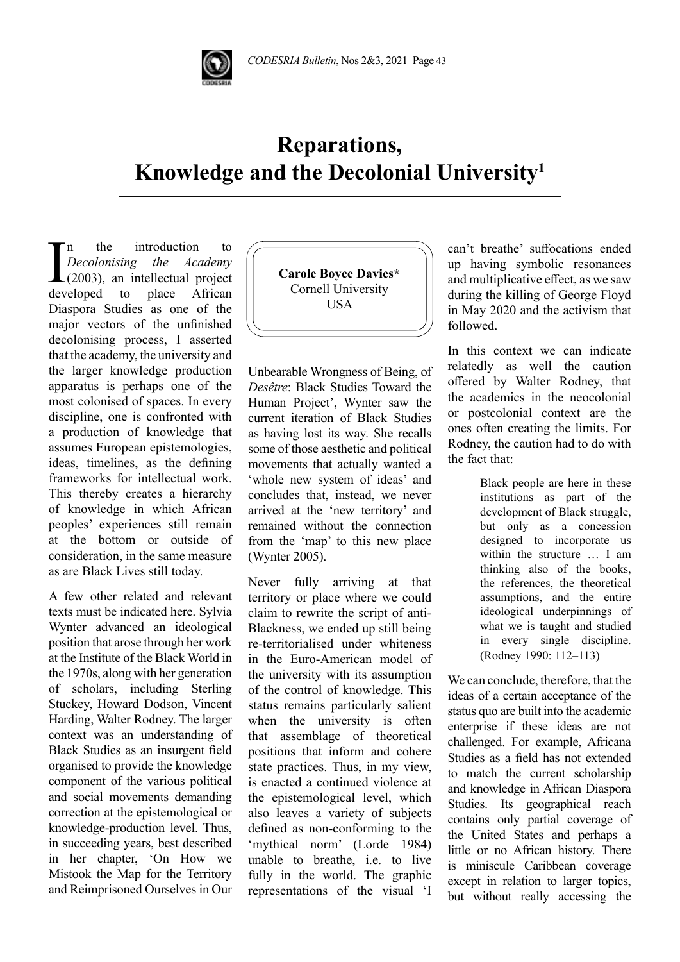

## **Reparations, Knowledge and the Decolonial University1**

 $\sum_{\substack{Decolonising \\ (2003), \text{ an intellectual project}}}$  the *Academy* (2003), an intellectual project n the introduction to *Decolonising the Academy*  $\lfloor (2003) \rfloor$ , an intellectual project Diaspora Studies as one of the major vectors of the unfinished decolonising process, I asserted that the academy, the university and the larger knowledge production apparatus is perhaps one of the most colonised of spaces. In every discipline, one is confronted with a production of knowledge that assumes European epistemologies, ideas, timelines, as the defining frameworks for intellectual work. This thereby creates a hierarchy of knowledge in which African peoples' experiences still remain at the bottom or outside of consideration, in the same measure as are Black Lives still today.

A few other related and relevant texts must be indicated here. Sylvia Wynter advanced an ideological position that arose through her work at the Institute of the Black World in the 1970s, along with her generation of scholars, including Sterling Stuckey, Howard Dodson, Vincent Harding, Walter Rodney. The larger context was an understanding of Black Studies as an insurgent field organised to provide the knowledge component of the various political and social movements demanding correction at the epistemological or knowledge-production level. Thus, in succeeding years, best described in her chapter, 'On How we Mistook the Map for the Territory and Reimprisoned Ourselves in Our



Unbearable Wrongness of Being, of *Desêtre*: Black Studies Toward the Human Project', Wynter saw the current iteration of Black Studies as having lost its way. She recalls some of those aesthetic and political movements that actually wanted a 'whole new system of ideas' and concludes that, instead, we never arrived at the 'new territory' and remained without the connection from the 'map' to this new place (Wynter 2005).

Never fully arriving at that territory or place where we could claim to rewrite the script of anti-Blackness, we ended up still being re-territorialised under whiteness in the Euro-American model of the university with its assumption of the control of knowledge. This status remains particularly salient when the university is often that assemblage of theoretical positions that inform and cohere state practices. Thus, in my view, is enacted a continued violence at the epistemological level, which also leaves a variety of subjects defined as non-conforming to the 'mythical norm' (Lorde 1984) unable to breathe, i.e. to live fully in the world. The graphic representations of the visual 'I

can't breathe' suffocations ended up having symbolic resonances and multiplicative effect, as we saw during the killing of George Floyd in May 2020 and the activism that followed.

In this context we can indicate relatedly as well the caution offered by Walter Rodney, that the academics in the neocolonial or postcolonial context are the ones often creating the limits. For Rodney, the caution had to do with the fact that:

> Black people are here in these institutions as part of the development of Black struggle, but only as a concession designed to incorporate us within the structure … I am thinking also of the books, the references, the theoretical assumptions, and the entire ideological underpinnings of what we is taught and studied in every single discipline. (Rodney 1990: 112–113)

We can conclude, therefore, that the ideas of a certain acceptance of the status quo are built into the academic enterprise if these ideas are not challenged. For example, Africana Studies as a field has not extended to match the current scholarship and knowledge in African Diaspora Studies. Its geographical reach contains only partial coverage of the United States and perhaps a little or no African history. There is miniscule Caribbean coverage except in relation to larger topics, but without really accessing the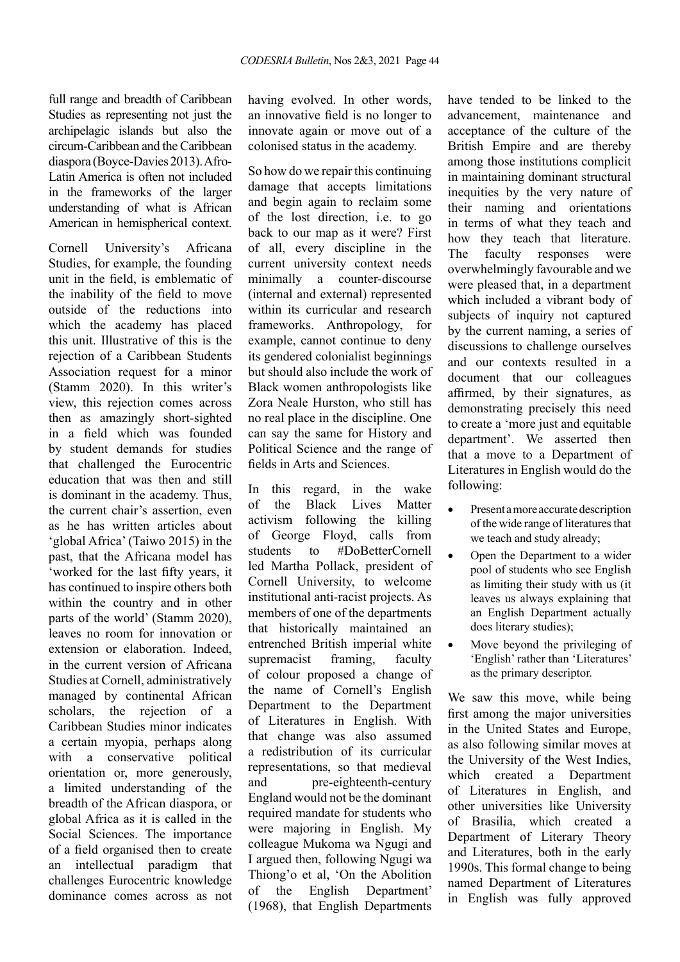full range and breadth of Caribbean Studies as representing not just the archipelagic islands but also the circum-Caribbean and the Caribbean diaspora (Boyce-Davies 2013). Afro-Latin America is often not included in the frameworks of the larger understanding of what is African American in hemispherical context.

Cornell University's Africana Studies, for example, the founding unit in the field, is emblematic of the inability of the field to move outside of the reductions into which the academy has placed this unit. Illustrative of this is the rejection of a Caribbean Students Association request for a minor (Stamm 2020). In this writer's view, this rejection comes across then as amazingly short-sighted in a field which was founded by student demands for studies that challenged the Eurocentric education that was then and still is dominant in the academy. Thus, the current chair's assertion, even as he has written articles about 'global Africa' (Taiwo 2015) in the past, that the Africana model has 'worked for the last fifty years, it has continued to inspire others both within the country and in other parts of the world' (Stamm 2020), leaves no room for innovation or extension or elaboration. Indeed, in the current version of Africana Studies at Cornell, administratively managed by continental African scholars, the rejection of a Caribbean Studies minor indicates a certain myopia, perhaps along with a conservative political orientation or, more generously, a limited understanding of the breadth of the African diaspora, or global Africa as it is called in the Social Sciences. The importance of a field organised then to create an intellectual paradigm that challenges Eurocentric knowledge dominance comes across as not

having evolved. In other words, an innovative field is no longer to innovate again or move out of a colonised status in the academy.

So how do we repair this continuing damage that accepts limitations and begin again to reclaim some of the lost direction, i.e. to go back to our map as it were? First of all, every discipline in the current university context needs minimally a counter-discourse (internal and external) represented within its curricular and research frameworks. Anthropology, for example, cannot continue to deny its gendered colonialist beginnings but should also include the work of Black women anthropologists like Zora Neale Hurston, who still has no real place in the discipline. One can say the same for History and Political Science and the range of fields in Arts and Sciences.

In this regard, in the wake of the Black Lives Matter activism following the killing of George Floyd, calls from students to #DoBetterCornell led Martha Pollack, president of Cornell University, to welcome institutional anti-racist projects. As members of one of the departments that historically maintained an entrenched British imperial white supremacist framing, faculty of colour proposed a change of the name of Cornell's English Department to the Department of Literatures in English. With that change was also assumed a redistribution of its curricular representations, so that medieval and pre-eighteenth-century England would not be the dominant required mandate for students who were majoring in English. My colleague Mukoma wa Ngugi and I argued then, following Ngugi wa Thiong'o et al, 'On the Abolition of the English Department' (1968), that English Departments

have tended to be linked to the advancement, maintenance and acceptance of the culture of the British Empire and are thereby among those institutions complicit in maintaining dominant structural inequities by the very nature of their naming and orientations in terms of what they teach and how they teach that literature. The faculty responses were overwhelmingly favourable and we were pleased that, in a department which included a vibrant body of subjects of inquiry not captured by the current naming, a series of discussions to challenge ourselves and our contexts resulted in a document that our colleagues affirmed, by their signatures, as demonstrating precisely this need to create a 'more just and equitable department'. We asserted then that a move to a Department of Literatures in English would do the following:

- Present a more accurate description of the wide range of literatures that we teach and study already;
- Open the Department to a wider pool of students who see English as limiting their study with us (it leaves us always explaining that an English Department actually does literary studies);
- Move beyond the privileging of 'English' rather than 'Literatures' as the primary descriptor.

We saw this move, while being first among the major universities in the United States and Europe, as also following similar moves at the University of the West Indies, which created a Department of Literatures in English, and other universities like University of Brasilia, which created a Department of Literary Theory and Literatures, both in the early 1990s. This formal change to being named Department of Literatures in English was fully approved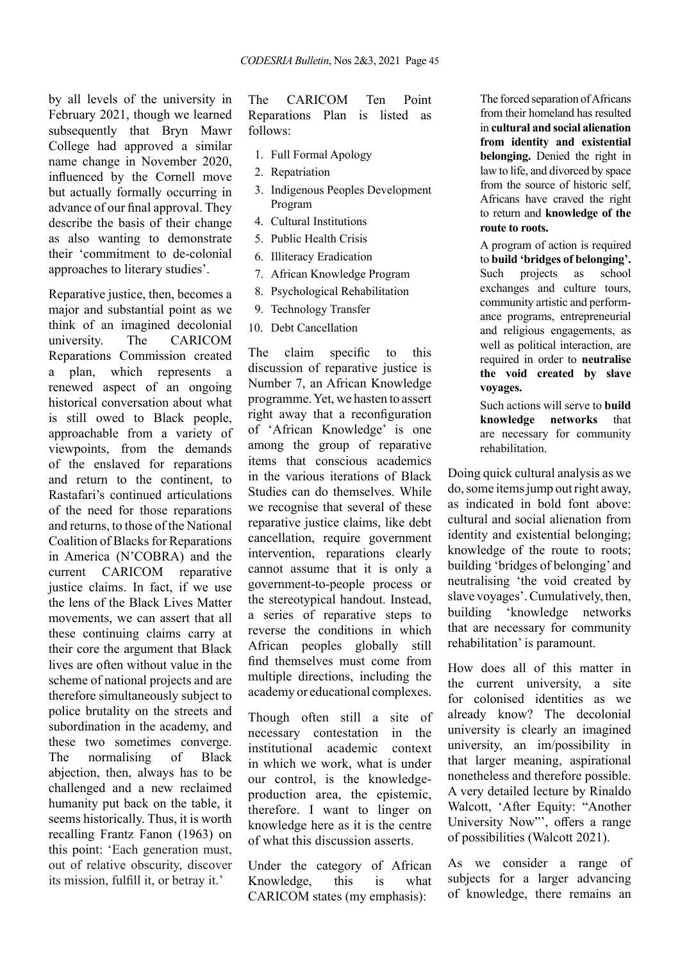by all levels of the university in February 2021, though we learned subsequently that Bryn Mawr College had approved a similar name change in November 2020, influenced by the Cornell move but actually formally occurring in advance of our final approval. They describe the basis of their change as also wanting to demonstrate their 'commitment to de-colonial approaches to literary studies'.

Reparative justice, then, becomes a major and substantial point as we think of an imagined decolonial university. The CARICOM Reparations Commission created a plan, which represents a renewed aspect of an ongoing historical conversation about what is still owed to Black people, approachable from a variety of viewpoints, from the demands of the enslaved for reparations and return to the continent, to Rastafari's continued articulations of the need for those reparations and returns, to those of the National Coalition of Blacks for Reparations in America (N'COBRA) and the current CARICOM reparative justice claims. In fact, if we use the lens of the Black Lives Matter movements, we can assert that all these continuing claims carry at their core the argument that Black lives are often without value in the scheme of national projects and are therefore simultaneously subject to police brutality on the streets and subordination in the academy, and these two sometimes converge. The normalising of Black abjection, then, always has to be challenged and a new reclaimed humanity put back on the table, it seems historically. Thus, it is worth recalling Frantz Fanon (1963) on this point: 'Each generation must, out of relative obscurity, discover its mission, fulfill it, or betray it.'

The CARICOM Ten Point Reparations Plan is listed as follows:

- 1. Full Formal Apology
- 2. Repatriation
- 3. Indigenous Peoples Development Program
- 4. Cultural Institutions
- 5. Public Health Crisis
- 6. Illiteracy Eradication
- 7. African Knowledge Program
- 8. Psychological Rehabilitation
- 9. Technology Transfer
- 10. Debt Cancellation

The claim specific to this discussion of reparative justice is Number 7, an African Knowledge programme. Yet, we hasten to assert right away that a reconfiguration of 'African Knowledge' is one among the group of reparative items that conscious academics in the various iterations of Black Studies can do themselves. While we recognise that several of these reparative justice claims, like debt cancellation, require government intervention, reparations clearly cannot assume that it is only a government-to-people process or the stereotypical handout. Instead, a series of reparative steps to reverse the conditions in which African peoples globally still find themselves must come from multiple directions, including the academy or educational complexes.

Though often still a site of necessary contestation in the institutional academic context in which we work, what is under our control, is the knowledgeproduction area, the epistemic, therefore. I want to linger on knowledge here as it is the centre of what this discussion asserts.

Under the category of African Knowledge, this is what CARICOM states (my emphasis):

The forced separation of Africans from their homeland has resulted in **cultural and social alienation from identity and existential belonging.** Denied the right in law to life, and divorced by space from the source of historic self, Africans have craved the right to return and **knowledge of the route to roots.**

A program of action is required to **build 'bridges of belonging'.** Such projects as school exchanges and culture tours, community artistic and performance programs, entrepreneurial and religious engagements, as well as political interaction, are required in order to **neutralise the void created by slave voyages.**

Such actions will serve to **build knowledge networks** that are necessary for community rehabilitation.

Doing quick cultural analysis as we do, some items jump out right away, as indicated in bold font above: cultural and social alienation from identity and existential belonging; knowledge of the route to roots; building 'bridges of belonging' and neutralising 'the void created by slave voyages'. Cumulatively, then, building 'knowledge networks that are necessary for community rehabilitation' is paramount.

How does all of this matter in the current university, a site for colonised identities as we already know? The decolonial university is clearly an imagined university, an im/possibility in that larger meaning, aspirational nonetheless and therefore possible. A very detailed lecture by Rinaldo Walcott, 'After Equity: "Another University Now"', offers a range of possibilities (Walcott 2021).

As we consider a range of subjects for a larger advancing of knowledge, there remains an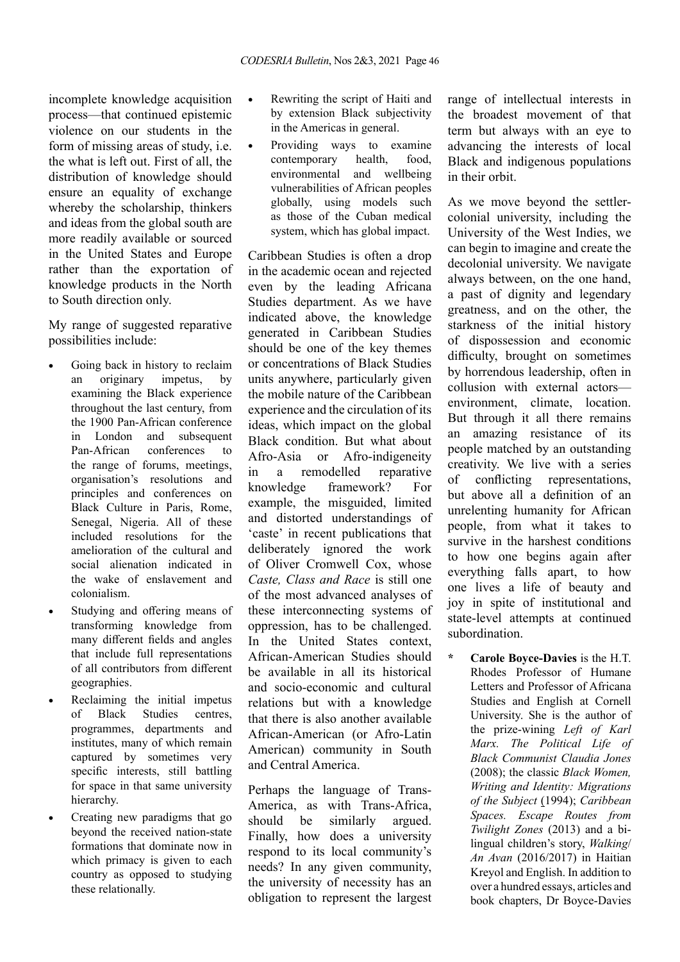incomplete knowledge acquisition process—that continued epistemic violence on our students in the form of missing areas of study, i.e. the what is left out. First of all, the distribution of knowledge should ensure an equality of exchange whereby the scholarship, thinkers and ideas from the global south are more readily available or sourced in the United States and Europe rather than the exportation of knowledge products in the North to South direction only.

My range of suggested reparative possibilities include:

- Going back in history to reclaim an originary impetus, by examining the Black experience throughout the last century, from the 1900 Pan-African conference in London and subsequent Pan-African conferences to the range of forums, meetings, organisation's resolutions and principles and conferences on Black Culture in Paris, Rome, Senegal, Nigeria. All of these included resolutions for the amelioration of the cultural and social alienation indicated in the wake of enslavement and colonialism.
- • Studying and offering means of transforming knowledge from many different fields and angles that include full representations of all contributors from different geographies.
- • Reclaiming the initial impetus of Black Studies centres, programmes, departments and institutes, many of which remain captured by sometimes very specific interests, still battling for space in that same university hierarchy.
- • Creating new paradigms that go beyond the received nation-state formations that dominate now in which primacy is given to each country as opposed to studying these relationally.
- Rewriting the script of Haiti and by extension Black subjectivity in the Americas in general.
- Providing ways to examine contemporary health, food, environmental and wellbeing vulnerabilities of African peoples globally, using models such as those of the Cuban medical system, which has global impact.

Caribbean Studies is often a drop in the academic ocean and rejected even by the leading Africana Studies department. As we have indicated above, the knowledge generated in Caribbean Studies should be one of the key themes or concentrations of Black Studies units anywhere, particularly given the mobile nature of the Caribbean experience and the circulation of its ideas, which impact on the global Black condition. But what about Afro-Asia or Afro-indigeneity in a remodelled reparative knowledge framework? For example, the misguided, limited and distorted understandings of 'caste' in recent publications that deliberately ignored the work of Oliver Cromwell Cox, whose *Caste, Class and Race* is still one of the most advanced analyses of these interconnecting systems of oppression, has to be challenged. In the United States context, African-American Studies should be available in all its historical and socio-economic and cultural relations but with a knowledge that there is also another available African-American (or Afro-Latin American) community in South and Central America.

Perhaps the language of Trans-America, as with Trans-Africa, should be similarly argued. Finally, how does a university respond to its local community's needs? In any given community, the university of necessity has an obligation to represent the largest

range of intellectual interests in the broadest movement of that term but always with an eye to advancing the interests of local Black and indigenous populations in their orbit.

As we move beyond the settlercolonial university, including the University of the West Indies, we can begin to imagine and create the decolonial university. We navigate always between, on the one hand, a past of dignity and legendary greatness, and on the other, the starkness of the initial history of dispossession and economic difficulty, brought on sometimes by horrendous leadership, often in collusion with external actors environment, climate, location. But through it all there remains an amazing resistance of its people matched by an outstanding creativity. We live with a series of conflicting representations, but above all a definition of an unrelenting humanity for African people, from what it takes to survive in the harshest conditions to how one begins again after everything falls apart, to how one lives a life of beauty and joy in spite of institutional and state-level attempts at continued subordination.

**\* Carole Boyce-Davies** is the H.T. Rhodes Professor of Humane Letters and Professor of Africana Studies and English at Cornell University. She is the author of the prize-wining *Left of Karl Marx. The Political Life of Black Communist Claudia Jones*  (2008); the classic *Black Women, Writing and Identity: Migrations of the Subject* (1994); *Caribbean Spaces. Escape Routes from Twilight Zones* (2013) and a bilingual children's story, *Walking*/ *An Avan* (2016/2017) in Haitian Kreyol and English. In addition to over a hundred essays, articles and book chapters, Dr Boyce-Davies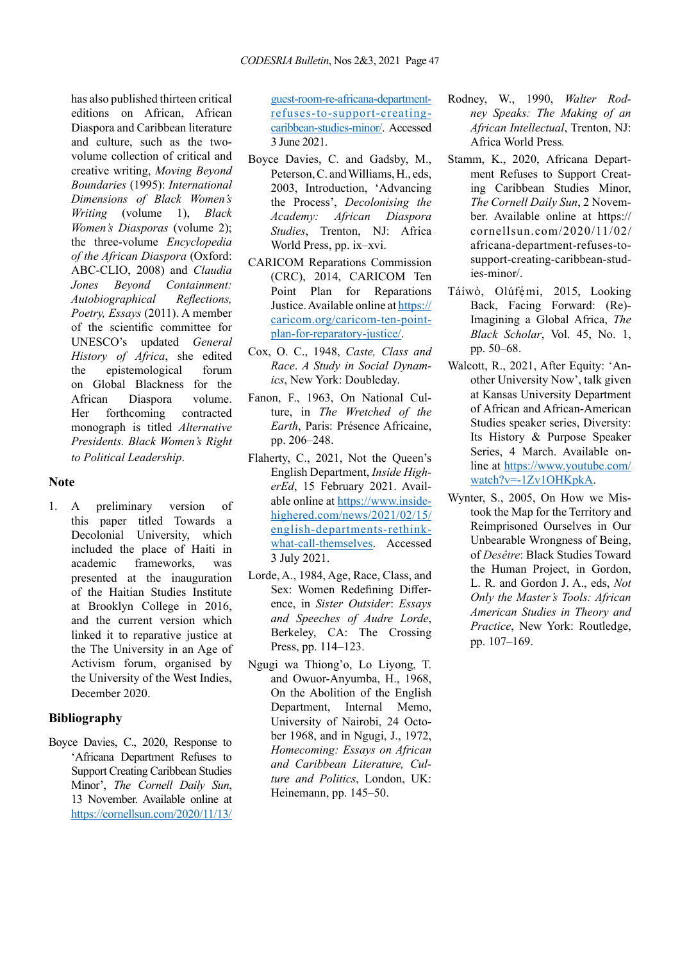has also published thirteen critical editions on African, African Diaspora and Caribbean literature and culture, such as the twovolume collection of critical and creative writing, *Moving Beyond Boundaries* (1995): *International Dimensions of Black Women's Writing* (volume 1), *Black Women's Diasporas* (volume 2); the three-volume *Encyclopedia of the African Diaspora* (Oxford: ABC-CLIO, 2008) and *Claudia Jones Beyond Containment: Autobiographical Reflections, Poetry, Essays* (2011). A member of the scientific committee for UNESCO's updated *General History of Africa*, she edited the epistemological forum on Global Blackness for the African Diaspora volume. Her forthcoming contracted monograph is titled *Alternative Presidents. Black Women's Right to Political Leadership*.

## **Note**

1. A preliminary version of this paper titled Towards a Decolonial University, which included the place of Haiti in academic frameworks, was presented at the inauguration of the Haitian Studies Institute at Brooklyn College in 2016, and the current version which linked it to reparative justice at the The University in an Age of Activism forum, organised by the University of the West Indies, December 2020.

## **Bibliography**

Boyce Davies, C., 2020, Response to 'Africana Department Refuses to Support Creating Caribbean Studies Minor', *The Cornell Daily Sun*, 13 November. Available online at https://cornellsun.com/2020/11/13/

guest-room-re-africana-departmentrefuses-to-support-creatingcaribbean-studies-minor/. Accessed 3 June 2021.

- Boyce Davies, C. and Gadsby, M., Peterson, C. and Williams, H., eds, 2003, Introduction, 'Advancing the Process', *Decolonising the Academy: African Diaspora Studies*, Trenton, NJ: Africa World Press, pp. ix–xvi.
- CARICOM Reparations Commission (CRC), 2014, CARICOM Ten Point Plan for Reparations Justice. Available online at [https://](https://caricom.org/caricom-ten-point-plan-for-reparatory-justice/) [caricom.org/caricom-ten-point](https://caricom.org/caricom-ten-point-plan-for-reparatory-justice/)[plan-for-reparatory-justice/](https://caricom.org/caricom-ten-point-plan-for-reparatory-justice/).
- Cox, O. C., 1948, *Caste, Class and Race*. *A Study in Social Dynamics*, New York: Doubleday.
- Fanon, F., 1963, On National Culture, in *The Wretched of the Earth*, Paris: Présence Africaine, pp. 206–248.
- Flaherty, C., 2021, Not the Queen's English Department, *Inside HigherEd*, 15 February 2021. Available online at [https://www.inside](https://www.insidehighered.com/news/2021/02/15/english-departments-rethink-what-call-themselves)[highered.com/news/2021/02/15/](https://www.insidehighered.com/news/2021/02/15/english-departments-rethink-what-call-themselves) [english-departments-rethink](https://www.insidehighered.com/news/2021/02/15/english-departments-rethink-what-call-themselves)[what-call-themselves](https://www.insidehighered.com/news/2021/02/15/english-departments-rethink-what-call-themselves). Accessed 3 July 2021.
- Lorde, A., 1984, Age, Race, Class, and Sex: Women Redefining Difference, in *Sister Outsider*: *Essays and Speeches of Audre Lorde*, Berkeley, CA: The Crossing Press, pp. 114–123.
- Ngugi wa Thiong'o, Lo Liyong, T. and Owuor-Anyumba, H., 1968, On the Abolition of the English Department, Internal Memo, University of Nairobi, 24 October 1968, and in Ngugi, J., 1972, *Homecoming: Essays on African and Caribbean Literature, Culture and Politics*, London, UK: Heinemann, pp. 145–50.
- Rodney, W., 1990, *Walter Rodney Speaks: The Making of an African Intellectual*, Trenton, NJ: Africa World Press*.*
- Stamm, K., 2020, Africana Department Refuses to Support Creating Caribbean Studies Minor, *The Cornell Daily Sun*, 2 November. Available online at https:// cornellsun.com/2020/11/02/ africana-department-refuses-tosupport-creating-caribbean-studies-minor/.
- Táíwò, Olúfémi, 2015, Looking Back, Facing Forward: (Re)- Imagining a Global Africa, *The Black Scholar*, Vol. 45, No. 1, pp. 50–68.
- Walcott, R., 2021, After Equity: 'Another University Now', talk given at Kansas University Department of African and African-American Studies speaker series, Diversity: Its History & Purpose Speaker Series, 4 March. Available online at [https://www.youtube.com/](https://www.youtube.com/watch?v=-1Zv1OHKpkA) [watch?v=-1Zv1OHKpkA](https://www.youtube.com/watch?v=-1Zv1OHKpkA).
- Wynter, S., 2005, On How we Mistook the Map for the Territory and Reimprisoned Ourselves in Our Unbearable Wrongness of Being, of *Desêtre*: Black Studies Toward the Human Project, in Gordon, L. R. and Gordon J. A., eds, *Not Only the Master's Tools: African American Studies in Theory and Practice*, New York: Routledge, pp. 107–169.